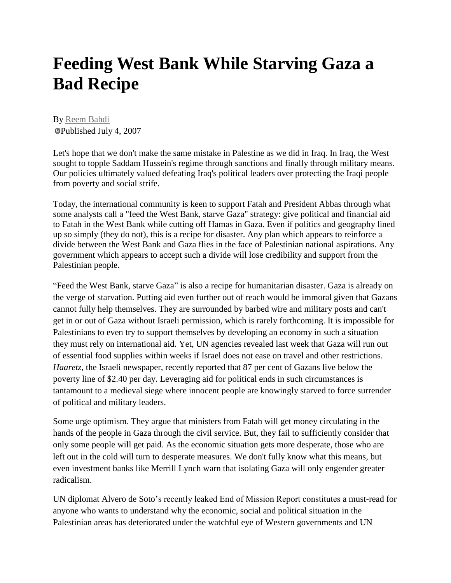## **Feeding West Bank While Starving Gaza a Bad Recipe**

By [Reem Bahdi](http://embassymag.ca/column/author/272) Published July 4, 2007

Let's hope that we don't make the same mistake in Palestine as we did in Iraq. In Iraq, the West sought to topple Saddam Hussein's regime through sanctions and finally through military means. Our policies ultimately valued defeating Iraq's political leaders over protecting the Iraqi people from poverty and social strife.

Today, the international community is keen to support Fatah and President Abbas through what some analysts call a "feed the West Bank, starve Gaza" strategy: give political and financial aid to Fatah in the West Bank while cutting off Hamas in Gaza. Even if politics and geography lined up so simply (they do not), this is a recipe for disaster. Any plan which appears to reinforce a divide between the West Bank and Gaza flies in the face of Palestinian national aspirations. Any government which appears to accept such a divide will lose credibility and support from the Palestinian people.

"Feed the West Bank, starve Gaza" is also a recipe for humanitarian disaster. Gaza is already on the verge of starvation. Putting aid even further out of reach would be immoral given that Gazans cannot fully help themselves. They are surrounded by barbed wire and military posts and can't get in or out of Gaza without Israeli permission, which is rarely forthcoming. It is impossible for Palestinians to even try to support themselves by developing an economy in such a situation they must rely on international aid. Yet, UN agencies revealed last week that Gaza will run out of essential food supplies within weeks if Israel does not ease on travel and other restrictions. *Haaretz*, the Israeli newspaper, recently reported that 87 per cent of Gazans live below the poverty line of \$2.40 per day. Leveraging aid for political ends in such circumstances is tantamount to a medieval siege where innocent people are knowingly starved to force surrender of political and military leaders.

Some urge optimism. They argue that ministers from Fatah will get money circulating in the hands of the people in Gaza through the civil service. But, they fail to sufficiently consider that only some people will get paid. As the economic situation gets more desperate, those who are left out in the cold will turn to desperate measures. We don't fully know what this means, but even investment banks like Merrill Lynch warn that isolating Gaza will only engender greater radicalism.

UN diplomat Alvero de Soto's recently leaked End of Mission Report constitutes a must-read for anyone who wants to understand why the economic, social and political situation in the Palestinian areas has deteriorated under the watchful eye of Western governments and UN